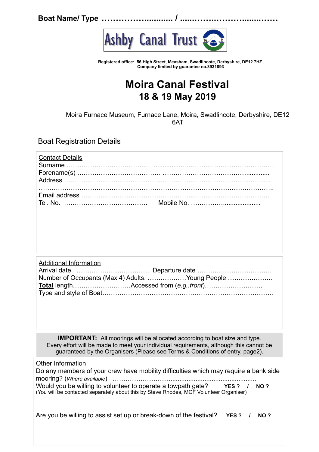**Boat Name/ Type ……………............ / ......……..………........……**



**Registered office: 56 High Street, Measham, Swadlincote, Derbyshire, DE12 7HZ. Company limited by guarantee no.3931093**

## **Moira Canal Festival 18 & 19 May 2019**

Moira Furnace Museum, Furnace Lane, Moira, Swadlincote, Derbyshire, DE12 6AT

Boat Registration Details

| <b>Contact Details</b> |  |
|------------------------|--|
|                        |  |
|                        |  |

| <b>Additional Information</b> |                                                  |  |
|-------------------------------|--------------------------------------------------|--|
|                               |                                                  |  |
|                               | Number of Occupants (Max 4) Adults. Young People |  |
|                               |                                                  |  |
|                               |                                                  |  |

**IMPORTANT:** All moorings will be allocated according to boat size and type. Every effort will be made to meet your individual requirements, although this cannot be guaranteed by the Organisers (Please see Terms & Conditions of entry, page2).

Other Information

| Do any members of your crew have mobility difficulties which may require a bank side   |  |
|----------------------------------------------------------------------------------------|--|
|                                                                                        |  |
| Would you be willing to volunteer to operate a towpath gate?<br>YES? / NO?             |  |
| (You will be contacted separately about this by Steve Rhodes, MCF Volunteer Organiser) |  |
|                                                                                        |  |

Are you be willing to assist set up or break-down of the festival? **YES ? / NO ?**